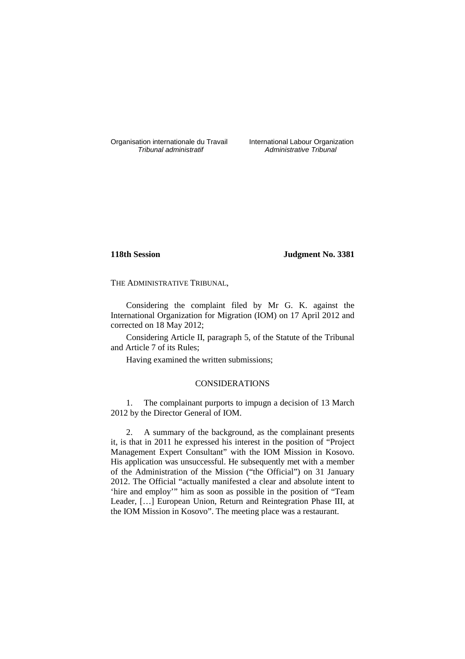Organisation internationale du Travail International Labour Organization<br>*Tribunal administratif* Administrative Tribunal

Administrative Tribunal

## **118th Session Judgment No. 3381**

THE ADMINISTRATIVE TRIBUNAL,

Considering the complaint filed by Mr G. K. against the International Organization for Migration (IOM) on 17 April 2012 and corrected on 18 May 2012;

Considering Article II, paragraph 5, of the Statute of the Tribunal and Article 7 of its Rules;

Having examined the written submissions;

## CONSIDERATIONS

1. The complainant purports to impugn a decision of 13 March 2012 by the Director General of IOM.

2. A summary of the background, as the complainant presents it, is that in 2011 he expressed his interest in the position of "Project Management Expert Consultant" with the IOM Mission in Kosovo. His application was unsuccessful. He subsequently met with a member of the Administration of the Mission ("the Official") on 31 January 2012. The Official "actually manifested a clear and absolute intent to 'hire and employ'" him as soon as possible in the position of "Team Leader, […] European Union, Return and Reintegration Phase III, at the IOM Mission in Kosovo". The meeting place was a restaurant.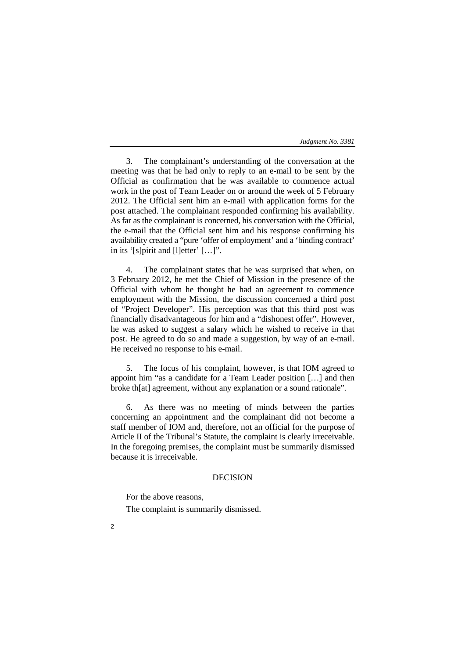*Judgment No. 3381* 

3. The complainant's understanding of the conversation at the meeting was that he had only to reply to an e-mail to be sent by the Official as confirmation that he was available to commence actual work in the post of Team Leader on or around the week of 5 February 2012. The Official sent him an e-mail with application forms for the post attached. The complainant responded confirming his availability. As far as the complainant is concerned, his conversation with the Official, the e-mail that the Official sent him and his response confirming his availability created a "pure 'offer of employment' and a 'binding contract' in its '[s]pirit and [l]etter' […]".

4. The complainant states that he was surprised that when, on 3 February 2012, he met the Chief of Mission in the presence of the Official with whom he thought he had an agreement to commence employment with the Mission, the discussion concerned a third post of "Project Developer". His perception was that this third post was financially disadvantageous for him and a "dishonest offer". However, he was asked to suggest a salary which he wished to receive in that post. He agreed to do so and made a suggestion, by way of an e-mail. He received no response to his e-mail.

5. The focus of his complaint, however, is that IOM agreed to appoint him "as a candidate for a Team Leader position […] and then broke th[at] agreement, without any explanation or a sound rationale".

6. As there was no meeting of minds between the parties concerning an appointment and the complainant did not become a staff member of IOM and, therefore, not an official for the purpose of Article II of the Tribunal's Statute, the complaint is clearly irreceivable. In the foregoing premises, the complaint must be summarily dismissed because it is irreceivable.

## DECISION

For the above reasons, The complaint is summarily dismissed.

 $\overline{2}$